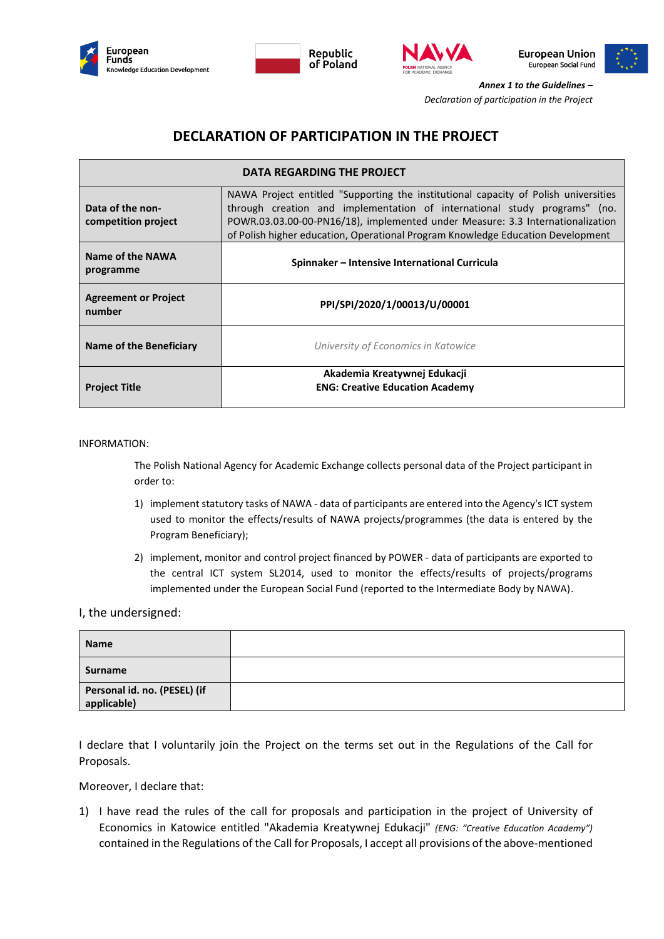









*Annex 1 to the Guidelines – Declaration of participation in the Project*

## **DECLARATION OF PARTICIPATION IN THE PROJECT**

| DATA REGARDING THE PROJECT              |                                                                                                                                                                                                                                                                                                                                       |
|-----------------------------------------|---------------------------------------------------------------------------------------------------------------------------------------------------------------------------------------------------------------------------------------------------------------------------------------------------------------------------------------|
| Data of the non-<br>competition project | NAWA Project entitled "Supporting the institutional capacity of Polish universities<br>through creation and implementation of international study programs" (no.<br>POWR.03.03.00-00-PN16/18), implemented under Measure: 3.3 Internationalization<br>of Polish higher education, Operational Program Knowledge Education Development |
| Name of the NAWA<br>programme           | Spinnaker – Intensive International Curricula                                                                                                                                                                                                                                                                                         |
| <b>Agreement or Project</b><br>number   | PPI/SPI/2020/1/00013/U/00001                                                                                                                                                                                                                                                                                                          |
| Name of the Beneficiary                 | University of Economics in Katowice                                                                                                                                                                                                                                                                                                   |
| <b>Project Title</b>                    | Akademia Kreatywnej Edukacji<br><b>ENG: Creative Education Academy</b>                                                                                                                                                                                                                                                                |

INFORMATION:

The Polish National Agency for Academic Exchange collects personal data of the Project participant in order to:

- 1) implement statutory tasks of NAWA data of participants are entered into the Agency's ICT system used to monitor the effects/results of NAWA projects/programmes (the data is entered by the Program Beneficiary);
- 2) implement, monitor and control project financed by POWER data of participants are exported to the central ICT system SL2014, used to monitor the effects/results of projects/programs implemented under the European Social Fund (reported to the Intermediate Body by NAWA).

## I, the undersigned:

| <b>Name</b>                                 |  |
|---------------------------------------------|--|
| Surname                                     |  |
| Personal id. no. (PESEL) (if<br>applicable) |  |

I declare that I voluntarily join the Project on the terms set out in the Regulations of the Call for Proposals.

Moreover, I declare that:

1) I have read the rules of the call for proposals and participation in the project of University of Economics in Katowice entitled "Akademia Kreatywnej Edukacji" *(ENG: "Creative Education Academy")*  contained in the Regulations of the Call for Proposals, I accept all provisions of the above-mentioned